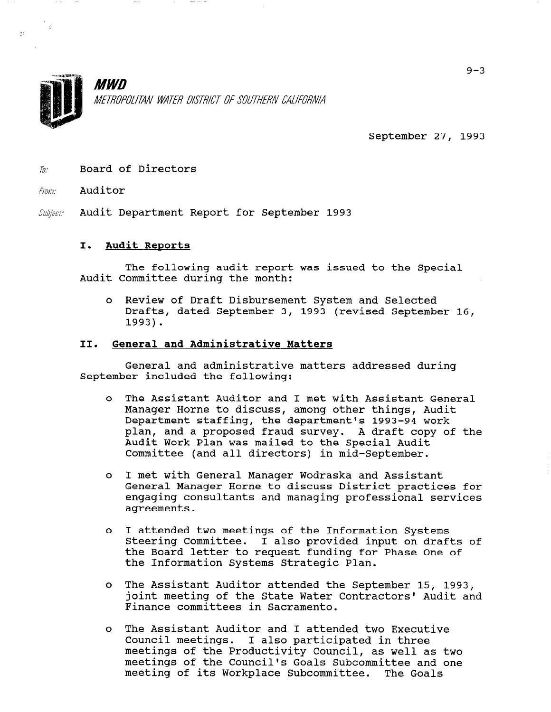

*MWD* METROPOLITAN WATER DISTRICT OF SOUTHERN CALIFORNIA

September 27, 1993

 $\bar{h}$  Board of Directors

From: Auditor

Subject: Audit Department Report for September 1993

## I. Audit Reports

The following audit report was issued to the Special Audit Committee during the month:

<sup>0</sup>Review of Draft Disbursement System and Selected Drafts, dated September 3, 1993 (revised September 16, 1993).

## II. General and Administrative Matters

General and administrative matters addressed during September included the following:

- <sup>0</sup>The Assistant Auditor and I met with Assistant General Manager Horne to discuss, among other things, Audit Department staffing, the department's 1993-94 work plan, and a proposed fraud survey. A draft copy of the Audit Work Plan was mailed to the Special Audit Committee (and all directors) in mid-September.
- <sup>0</sup>I met with General Manager Wodraska and Assistant General Manager Horne to discuss District practices for engaging consultants and managing professional services agreements.
- <sup>0</sup>I attended two meetings of the Information Systems Steering Committee. I also provided input on drafts of steering committee. I also provided input on draits the Board Tecter to request funding id
- <sup>0</sup>The Assistant Auditor attended the September 15, 1993, joint meeting of the State Water Contractors' Audit and joint meeting of the State Water Contractors' Audit and Finance committees in Sacramento.
- <sup>0</sup>The Assistant Auditor and I attended two Executive The ASSIStant Auglior and I attended two Execu<br>Council westings. I slow participated in the U Council meetings. I also participated in three meetings of the Productivity Council, as well as two meetings of the Council's Goals Subcommittee and one<br>meeting of its Workplace Subcommittee. The Goals

 $9 - 3$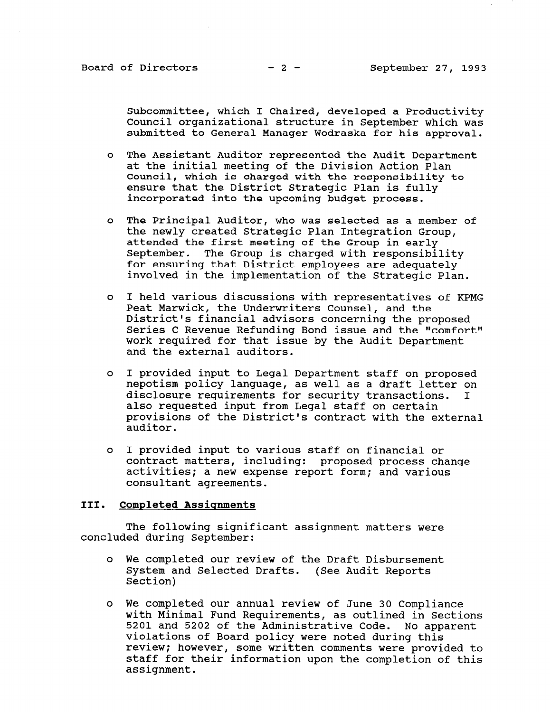Subcommittee, which I Chaired, developed a Productivity Council organizational structure in September which was submitted to General Manager Wodraska for his approval.

- <sup>0</sup>The Assistant Auditor represented the Audit Department at the initial meeting of the Division Action Plan Council, which is charged with the responsibility to ensure that the District Strategic Plan is fully incorporated into the upcoming budget process.
- <sup>0</sup>The Principal Auditor, who was selected as a member of the newly created Strategic Plan Integration Group, attended the first meeting of the Group in early September. The Group is charged with responsibility for ensuring that District employees are adequately involved in the implementation of the Strategic Plan.
- <sup>0</sup>I held various discussions with representatives of KPMG Peat Marwick, the Underwriters Counsel, and the District's financial advisors concerning the proposed Series C Revenue Refunding Bond issue and the "comfort" work required for that issue by the Audit Department and the external auditors.
- <sup>0</sup>I provided input to Legal Department staff on proposed nepotism policy language, as well as a draft letter on disclosure requirements for security transactions. I also requested input from Legal staff on certain provisions of the District's contract with the external auditor.
- <sup>0</sup>I provided input to various staff on financial or contract matters, including: proposed process change activities; a new expense report form; and various consultant agreements.

## III. Completed Assianments

The following significant assignment matters were concluded during September:

- <sup>0</sup>We completed our review of the Draft Disbursement System and Selected Drafts. (See Audit Reports Section)
- $\epsilon$  Us completed our annual review of  $\tau_{\text{max}}$  30 Compliance we completed our annual review of June 30 Compliance with Minimal Fund Requirements, as outlined in Sections 5201 and 5202 of the Administrative Code. No apparent violations of Board policy were noted during this review; however, some written comments were provided to staff for their information upon the completion of this assignment.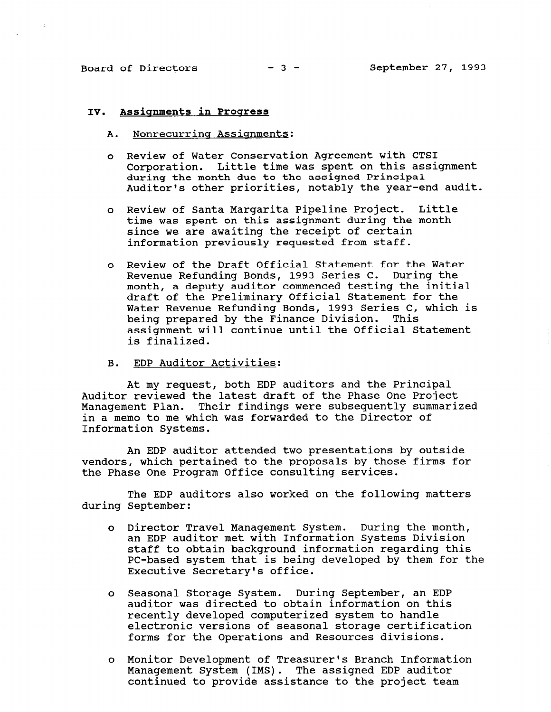## IV. Assignments in Progress

- A. Nonrecurrins Assignments:
- <sup>0</sup>Review of Water Conservation Agreement with CTSI Corporation. Little time was spent on this assignment during the month due to the assigned Principal Auditor's other priorities, notably the year-end audit.
- <sup>0</sup>Review of Santa Margarita Pipeline Project. Little time was spent on this assignment during the month since we are awaiting the receipt of certain information previously requested from staff.
- <sup>0</sup>Review of the Draft Official Statement for the Water Revenue Refunding Bonds, 1993 Series C. During the month, a deputy auditor commenced testing the initial draft of the Preliminary Official Statement for the Water Revenue Refunding Bonds, 1993 Series C, which is being prepared by the Finance Division. This assignment will continue until the Official Statement is finalized.
- B. EDP Auditor Activities:

At my request, both EDP auditors and the Principal Auditor reviewed the latest draft of the Phase One Project Management Plan. Their findings were subsequently summarized in a memo to me which was forwarded to the Director of Information Systems.

An EDP auditor attended two presentations by outside vendors, which pertained to the proposals by those firms for the Phase One Program Office consulting services.

The EDP auditors also worked on the following matters during September:

- o Director Travel Management System. During the month, an EDP auditor met with Information Systems Division staff to obtain background information regarding this PC-based system that is being developed by them for the PC-DASEQ SYSTEM THAT IS DEI<br>Presultive Secretary's offic
- <sup>0</sup>Seasonal Storage System. During September, an EDP auditor was directed to obtain information on this auditor was directed to obtain information on this recently developed computerized system to handle electronic versions of seasonal storage certification<br>forms for the Operations and Resources divisions.
- <sup>0</sup>Monitor Development of Treasurer's Branch Information MONICOL DEVELOPMENT OF TREASURER'S BRANCH INFORM<br>Monicoral Costem (IMS). The arrivered EDP audit Management System (IMS). The assigned EDP auditor<br>continued to provide assistance to the project team